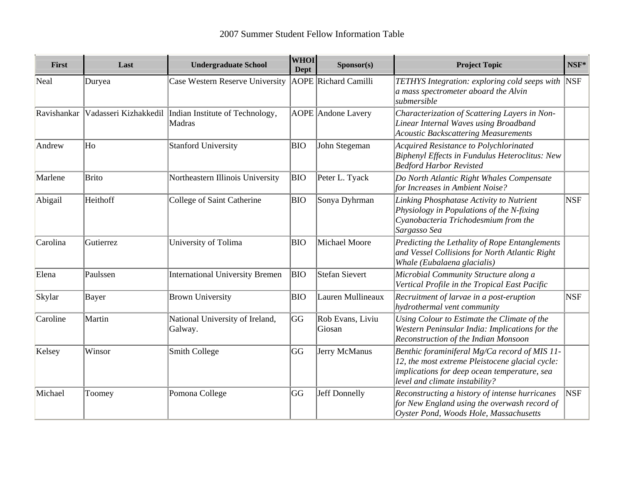| First       | Last      | <b>Undergraduate School</b>                                       | <b>WHOI</b><br>Dept | Sponsor(s)                  | <b>Project Topic</b>                                                                                                                                                               | NSF*       |
|-------------|-----------|-------------------------------------------------------------------|---------------------|-----------------------------|------------------------------------------------------------------------------------------------------------------------------------------------------------------------------------|------------|
| Neal        | Duryea    | Case Western Reserve University                                   |                     | <b>AOPE</b> Richard Camilli | TETHYS Integration: exploring cold seeps with NSF<br>a mass spectrometer aboard the Alvin<br>submersible                                                                           |            |
| Ravishankar |           | Vadasseri Kizhakkedil   Indian Institute of Technology,<br>Madras |                     | <b>AOPE</b> Andone Lavery   | Characterization of Scattering Layers in Non-<br>Linear Internal Waves using Broadband<br><b>Acoustic Backscattering Measurements</b>                                              |            |
| Andrew      | Ho        | <b>Stanford University</b>                                        | <b>BIO</b>          | John Stegeman               | Acquired Resistance to Polychlorinated<br>Biphenyl Effects in Fundulus Heteroclitus: New<br><b>Bedford Harbor Revisted</b>                                                         |            |
| Marlene     | Brito     | Northeastern Illinois University                                  | BIO                 | Peter L. Tyack              | Do North Atlantic Right Whales Compensate<br>for Increases in Ambient Noise?                                                                                                       |            |
| Abigail     | Heithoff  | College of Saint Catherine                                        | <b>BIO</b>          | Sonya Dyhrman               | Linking Phosphatase Activity to Nutrient<br>Physiology in Populations of the N-fixing<br>Cyanobacteria Trichodesmium from the<br>Sargasso Sea                                      | <b>NSF</b> |
| Carolina    | Gutierrez | University of Tolima                                              | <b>BIO</b>          | Michael Moore               | Predicting the Lethality of Rope Entanglements<br>and Vessel Collisions for North Atlantic Right<br>Whale (Eubalaena glacialis)                                                    |            |
| Elena       | Paulssen  | <b>International University Bremen</b>                            | BIO                 | <b>Stefan Sievert</b>       | Microbial Community Structure along a<br>Vertical Profile in the Tropical East Pacific                                                                                             |            |
| Skylar      | Bayer     | <b>Brown University</b>                                           | <b>BIO</b>          | Lauren Mullineaux           | Recruitment of larvae in a post-eruption<br>hydrothermal vent community                                                                                                            | <b>NSF</b> |
| Caroline    | Martin    | National University of Ireland,<br>Galway.                        | GG                  | Rob Evans, Liviu<br>Giosan  | Using Colour to Estimate the Climate of the<br>Western Peninsular India: Implications for the<br>Reconstruction of the Indian Monsoon                                              |            |
| Kelsey      | Winsor    | Smith College                                                     | GG                  | Jerry McManus               | Benthic foraminiferal Mg/Ca record of MIS 11-<br>12, the most extreme Pleistocene glacial cycle:<br>implications for deep ocean temperature, sea<br>level and climate instability? |            |
| Michael     | Toomey    | Pomona College                                                    | GG                  | Jeff Donnelly               | Reconstructing a history of intense hurricanes<br>for New England using the overwash record of<br>Oyster Pond, Woods Hole, Massachusetts                                           | <b>NSF</b> |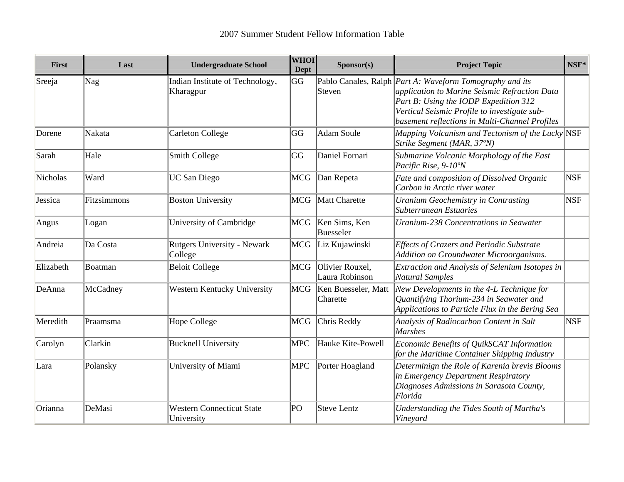| First     | Last        | <b>Undergraduate School</b>                    | <b>WHOI</b><br><b>Dept</b> | Sponsor(s)                        | <b>Project Topic</b>                                                                                                                                                                                                                                        | $NSF^*$    |
|-----------|-------------|------------------------------------------------|----------------------------|-----------------------------------|-------------------------------------------------------------------------------------------------------------------------------------------------------------------------------------------------------------------------------------------------------------|------------|
| Sreeja    | Nag         | Indian Institute of Technology,<br>Kharagpur   | GG                         | Steven                            | Pablo Canales, Ralph <i>Part A: Waveform Tomography and its</i><br>application to Marine Seismic Refraction Data<br>Part B: Using the IODP Expedition 312<br>Vertical Seismic Profile to investigate sub-<br>basement reflections in Multi-Channel Profiles |            |
| Dorene    | Nakata      | <b>Carleton College</b>                        | GG                         | <b>Adam Soule</b>                 | Mapping Volcanism and Tectonism of the Lucky $\vert$ NSF<br>Strike Segment (MAR, 37°N)                                                                                                                                                                      |            |
| Sarah     | Hale        | Smith College                                  | GG                         | Daniel Fornari                    | Submarine Volcanic Morphology of the East<br>Pacific Rise, 9-10°N                                                                                                                                                                                           |            |
| Nicholas  | Ward        | <b>UC San Diego</b>                            | MCG                        | Dan Repeta                        | Fate and composition of Dissolved Organic<br>Carbon in Arctic river water                                                                                                                                                                                   | <b>NSF</b> |
| Jessica   | Fitzsimmons | <b>Boston University</b>                       | MCG                        | <b>Matt Charette</b>              | Uranium Geochemistry in Contrasting<br>Subterranean Estuaries                                                                                                                                                                                               | <b>NSF</b> |
| Angus     | Logan       | University of Cambridge                        | MCG                        | Ken Sims, Ken<br><b>Buesseler</b> | <b>Uranium-238 Concentrations in Seawater</b>                                                                                                                                                                                                               |            |
| Andreia   | Da Costa    | <b>Rutgers University - Newark</b><br>College  | <b>MCG</b>                 | Liz Kujawinski                    | <b>Effects of Grazers and Periodic Substrate</b><br>Addition on Groundwater Microorganisms.                                                                                                                                                                 |            |
| Elizabeth | Boatman     | <b>Beloit College</b>                          | <b>MCG</b>                 | Olivier Rouxel,<br>Laura Robinson | Extraction and Analysis of Selenium Isotopes in<br><b>Natural Samples</b>                                                                                                                                                                                   |            |
| DeAnna    | McCadney    | Western Kentucky University                    | MCG                        | Ken Buesseler, Matt<br>Charette   | New Developments in the 4-L Technique for<br>Quantifying Thorium-234 in Seawater and<br>Applications to Particle Flux in the Bering Sea                                                                                                                     |            |
| Meredith  | Praamsma    | Hope College                                   | <b>MCG</b>                 | Chris Reddy                       | Analysis of Radiocarbon Content in Salt<br><b>Marshes</b>                                                                                                                                                                                                   | <b>NSF</b> |
| Carolyn   | Clarkin     | <b>Bucknell University</b>                     | <b>MPC</b>                 | Hauke Kite-Powell                 | Economic Benefits of QuikSCAT Information<br>for the Maritime Container Shipping Industry                                                                                                                                                                   |            |
| Lara      | Polansky    | University of Miami                            | <b>MPC</b>                 | Porter Hoagland                   | Determinign the Role of Karenia brevis Blooms<br>in Emergency Department Respiratory<br>Diagnoses Admissions in Sarasota County,<br>Florida                                                                                                                 |            |
| Orianna   | DeMasi      | <b>Western Connecticut State</b><br>University | PO                         | <b>Steve Lentz</b>                | Understanding the Tides South of Martha's<br>Vineyard                                                                                                                                                                                                       |            |